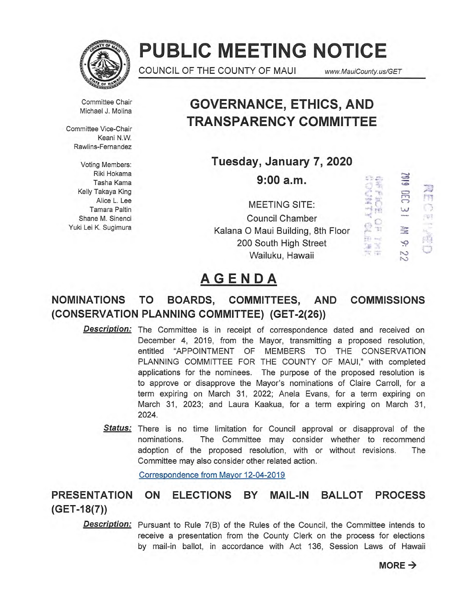

# **PUBLIC MEETING NOTICE**

COUNCIL OF THE COUNTY OF MAUI www.MauiCounty.us/GET

Committee Chair Michael J. Molina

Committee Vice-Chair Keani N.W. Rawlins-Fernandez

Voting Members: Riki Hokama Tasha Kama Kelly Takaya King Alice L. Lee Tamara Paltin Shane M. Sinenci Yuki Lei K. Sugimura

## **GOVERNANCE, ETHICS, AND TRANSPARENCY COMMITTEE**

**Tuesday, January 7, 2020** 

**9:00 a.m.** 

MEETING SITE: Council Chamber Kalana 0 Maui Building, 8th Floor 200 South High Street Wailuku, Hawaii



## **AGENDA**

## **NOMINATIONS TO BOARDS, COMMITTEES, AND COMMISSIONS (CONSERVATION PLANNING COMMITTEE) (GET-2(26))**

- **Description:** The Committee is in receipt of correspondence dated and received on December 4, 2019, from the Mayor, transmitting a proposed resolution, entitled "APPOINTMENT OF MEMBERS TO THE CONSERVATION PLANNING COMMITTEE FOR THE COUNTY OF MAUI," with completed applications for the nominees. The purpose of the proposed resolution is to approve or disapprove the Mayor's nominations of Claire Carroll, for a term expiring on March 31, 2022; Anela Evans, for a term expiring on March 31, 2023; and Laura Kaakua, for a term expiring on March 31, 2024.
	- Status: There is no time limitation for Council approval or disapproval of the nominations. The Committee may consider whether to recommend adoption of the proposed resolution, with or without revisions. The Committee may also consider other related action.

Correspondence from Mayor 12-04-2019

### **PRESENTATION ON ELECTIONS BY MAIL-IN BALLOT PROCESS (GET-18(7))**

**Description:** Pursuant to Rule 7(B) of the Rules of the Council, the Committee intends to receive a presentation from the County Clerk on the process for elections by mail-in ballot, in accordance with Act 136, Session Laws of Hawaii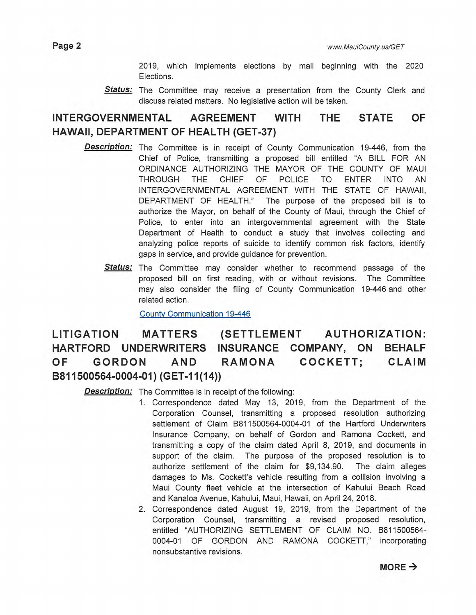2019, which implements elections by mail beginning with the 2020 Elections.

**Status:** The Committee may receive a presentation from the County Clerk and discuss related matters. No legislative action will be taken.

### **INTERGOVERNMENTAL AGREEMENT WITH THE STATE OF HAWAII, DEPARTMENT OF HEALTH (GET-37)**

- **Description:**  The Committee is in receipt of County Communication 19-446, from the Chief of Police, transmitting a proposed bill entitled "A BILL FOR AN ORDINANCE AUTHORIZING THE MAYOR OF THE COUNTY OF MAUI THROUGH THE CHIEF OF POLICE TO ENTER INTO AN INTERGOVERNMENTAL AGREEMENT WITH THE STATE OF HAWAII, DEPARTMENT OF HEALTH." The purpose of the proposed bill is to authorize the Mayor, on behalf of the County of Maui, through the Chief of Police, to enter into an intergovernmental agreement with the State Department of Health to conduct a study that involves collecting and analyzing police reports of suicide to identify common risk factors, identify gaps in service, and provide guidance for prevention.
	- Status: The Committee may consider whether to recommend passage of the proposed bill on first reading, with or without revisions. The Committee may also consider the filing of County Communication 19-446 and other related action.

County Communication 19-446

**LITIGATION MATTERS (SETTLEMENT AUTHORIZATION: HARTFORD UNDERWRITERS INSURANCE COMPANY, ON BEHALF OF GORDON AND RAMONA COCKETT; CLAIM B811500564-0004-01) (GET-11(14))** 

**Description:** The Committee is in receipt of the following:

- 1 Correspondence dated May 13, 2019, from the Department of the Corporation Counsel, transmitting a proposed resolution authorizing settlement of Claim B811500564-0004-01 of the Hartford Underwriters Insurance Company, on behalf of Gordon and Ramona Cockett, and transmitting a copy of the claim dated April 8, 2019, and documents in support of the claim. The purpose of the proposed resolution is to authorize settlement of the claim for \$9,134.90. The claim alleges damages to Ms. Cockett's vehicle resulting from a collision involving a Maui County fleet vehicle at the intersection of Kahului Beach Road and Kanaloa Avenue, Kahului, Maui, Hawaii, on April 24, 2018.
- 2. Correspondence dated August 19, 2019, from the Department of the Corporation Counsel, transmitting a revised proposed resolution, entitled "AUTHORIZING SETTLEMENT OF CLAIM NO. B811500564-0004-01 OF GORDON AND RAMONA COCKETT," incorporating nonsubstantive revisions.